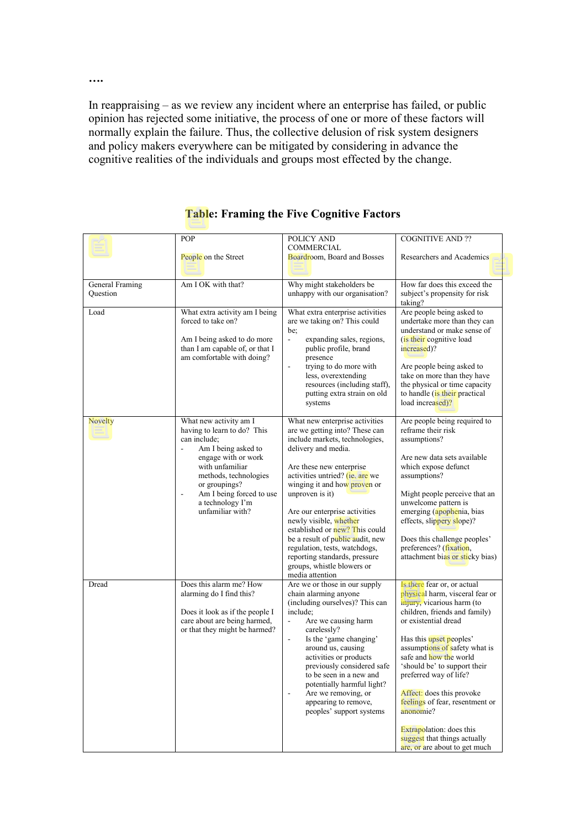In reappraising – as we review any incident where an enterprise has failed, or public opinion has rejected some initiative, the process of one or more of these factors will normally explain the failure. Thus, the collective delusion of risk system designers and policy makers everywhere can be mitigated by considering in advance the cognitive realities of the individuals and groups most effected by the change.

|                 | POP                                                                                                                                                                                                                                                                              | POLICY AND                                                                                                                                                                                                                                                                                                                                                                                                                                                                                      | <b>COGNITIVE AND ??</b>                                                                                                                                                                                                                                                                                                                                                                                                                                                         |
|-----------------|----------------------------------------------------------------------------------------------------------------------------------------------------------------------------------------------------------------------------------------------------------------------------------|-------------------------------------------------------------------------------------------------------------------------------------------------------------------------------------------------------------------------------------------------------------------------------------------------------------------------------------------------------------------------------------------------------------------------------------------------------------------------------------------------|---------------------------------------------------------------------------------------------------------------------------------------------------------------------------------------------------------------------------------------------------------------------------------------------------------------------------------------------------------------------------------------------------------------------------------------------------------------------------------|
|                 | People on the Street                                                                                                                                                                                                                                                             | <b>COMMERCIAL</b><br>Boardroom, Board and Bosses                                                                                                                                                                                                                                                                                                                                                                                                                                                | Researchers and Academics                                                                                                                                                                                                                                                                                                                                                                                                                                                       |
| General Framing | Am I OK with that?                                                                                                                                                                                                                                                               | Why might stakeholders be                                                                                                                                                                                                                                                                                                                                                                                                                                                                       | How far does this exceed the                                                                                                                                                                                                                                                                                                                                                                                                                                                    |
| Question        |                                                                                                                                                                                                                                                                                  | unhappy with our organisation?                                                                                                                                                                                                                                                                                                                                                                                                                                                                  | subject's propensity for risk<br>taking?                                                                                                                                                                                                                                                                                                                                                                                                                                        |
| Load            | What extra activity am I being<br>forced to take on?<br>Am I being asked to do more<br>than I am capable of, or that I<br>am comfortable with doing?                                                                                                                             | What extra enterprise activities<br>are we taking on? This could<br>be;<br>expanding sales, regions,<br>public profile, brand<br>presence<br>trying to do more with<br>less, overextending<br>resources (including staff),<br>putting extra strain on old<br>systems                                                                                                                                                                                                                            | Are people being asked to<br>undertake more than they can<br>understand or make sense of<br>(is their cognitive load<br>increased)?<br>Are people being asked to<br>take on more than they have<br>the physical or time capacity<br>to handle (is their practical<br>load increased)?                                                                                                                                                                                           |
| Novelty         | What new activity am I<br>having to learn to do? This<br>can include;<br>Am I being asked to<br>engage with or work<br>with unfamiliar<br>methods, technologies<br>or groupings?<br>Am I being forced to use<br>$\overline{\phantom{a}}$<br>a technology I'm<br>unfamiliar with? | What new enterprise activities<br>are we getting into? These can<br>include markets, technologies,<br>delivery and media.<br>Are these new enterprise<br>activities untried? (ie. are we<br>winging it and how proven or<br>unproven is it)<br>Are our enterprise activities<br>newly visible, whether<br>established or new? This could<br>be a result of public audit, new<br>regulation, tests, watchdogs,<br>reporting standards, pressure<br>groups, whistle blowers or<br>media attention | Are people being required to<br>reframe their risk<br>assumptions?<br>Are new data sets available<br>which expose defunct<br>assumptions?<br>Might people perceive that an<br>unwelcome pattern is<br>emerging (apophenia, bias<br>effects, slippery slope)?<br>Does this challenge peoples'<br>preferences? (fixation,<br>attachment bias or sticky bias)                                                                                                                      |
| Dread           | Does this alarm me? How<br>alarming do I find this?<br>Does it look as if the people I<br>care about are being harmed,<br>or that they might be harmed?                                                                                                                          | Are we or those in our supply<br>chain alarming anyone<br>(including ourselves)? This can<br>include:<br>Are we causing harm<br>carelessly?<br>Is the 'game changing'<br>around us, causing<br>activities or products<br>previously considered safe<br>to be seen in a new and<br>potentially harmful light?<br>Are we removing, or<br>appearing to remove,<br>peoples' support systems                                                                                                         | Is there fear or, or actual<br>physical harm, visceral fear or<br>injury, vicarious harm (to<br>children, friends and family)<br>or existential dread<br>Has this upset peoples'<br>assumptions of safety what is<br>safe and how the world<br>'should be' to support their<br>preferred way of life?<br>Affect: does this provoke<br>feelings of fear, resentment or<br>anonomie?<br>Extrapolation: does this<br>suggest that things actually<br>are, or are about to get much |

**Table: Framing the Five Cognitive Factors**

**….**